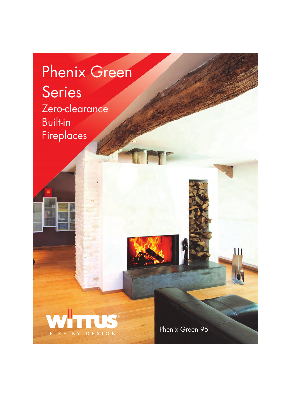## Phenix Green Series Zero-clearance Built-in Fireplaces



Phenix Green 95

Ш